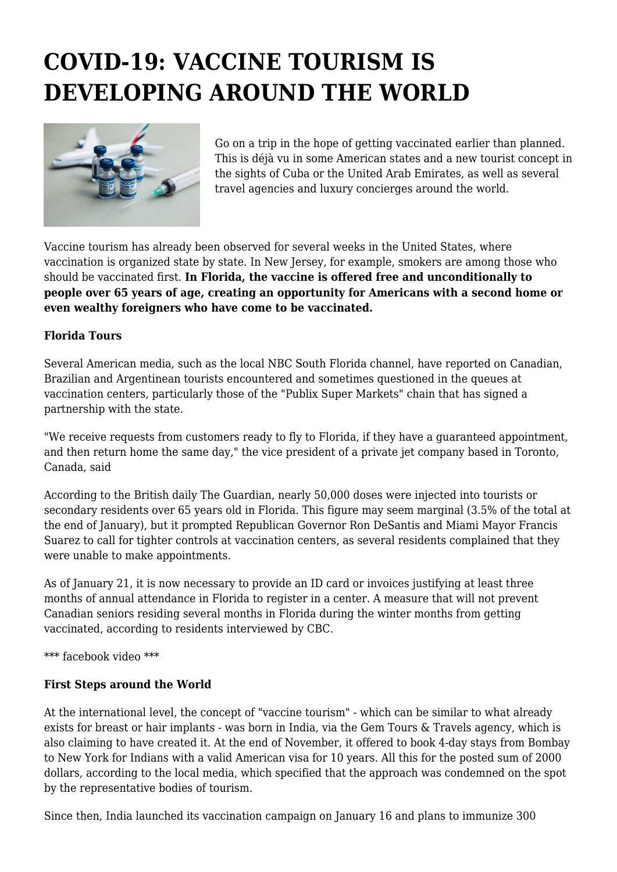# **COVID-19: VACCINE TOURISM IS DEVELOPING AROUND THE WORLD**



Go on a trip in the hope of getting vaccinated earlier than planned. This is déjà vu in some American states and a new tourist concept in the sights of Cuba or the United Arab Emirates, as well as several travel agencies and luxury concierges around the world.

Vaccine tourism has already been observed for several weeks in the United States, where vaccination is organized state by state. In New Jersey, for example, smokers are among those who should be vaccinated first. **In Florida, the vaccine is offered free and unconditionally to people over 65 years of age, creating an opportunity for Americans with a second home or even wealthy foreigners who have come to be vaccinated.**

#### **Florida Tours**

Several American media, such as the local NBC South Florida channel, have reported on Canadian, Brazilian and Argentinean tourists encountered and sometimes questioned in the queues at vaccination centers, particularly those of the "Publix Super Markets" chain that has signed a partnership with the state.

"We receive requests from customers ready to fly to Florida, if they have a guaranteed appointment, and then return home the same day," the vice president of a private jet company based in Toronto, Canada, said

According to the British daily The Guardian, nearly 50,000 doses were injected into tourists or secondary residents over 65 years old in Florida. This figure may seem marginal (3.5% of the total at the end of January), but it prompted Republican Governor Ron DeSantis and Miami Mayor Francis Suarez to call for tighter controls at vaccination centers, as several residents complained that they were unable to make appointments.

As of January 21, it is now necessary to provide an ID card or invoices justifying at least three months of annual attendance in Florida to register in a center. A measure that will not prevent Canadian seniors residing several months in Florida during the winter months from getting vaccinated, according to residents interviewed by CBC.

\*\*\* facebook video \*\*\*

## **First Steps around the World**

At the international level, the concept of "vaccine tourism" - which can be similar to what already exists for breast or hair implants - was born in India, via the Gem Tours & Travels agency, which is also claiming to have created it. At the end of November, it offered to book 4-day stays from Bombay to New York for Indians with a valid American visa for 10 years. All this for the posted sum of 2000 dollars, according to the local media, which specified that the approach was condemned on the spot by the representative bodies of tourism.

Since then, India launched its vaccination campaign on January 16 and plans to immunize 300